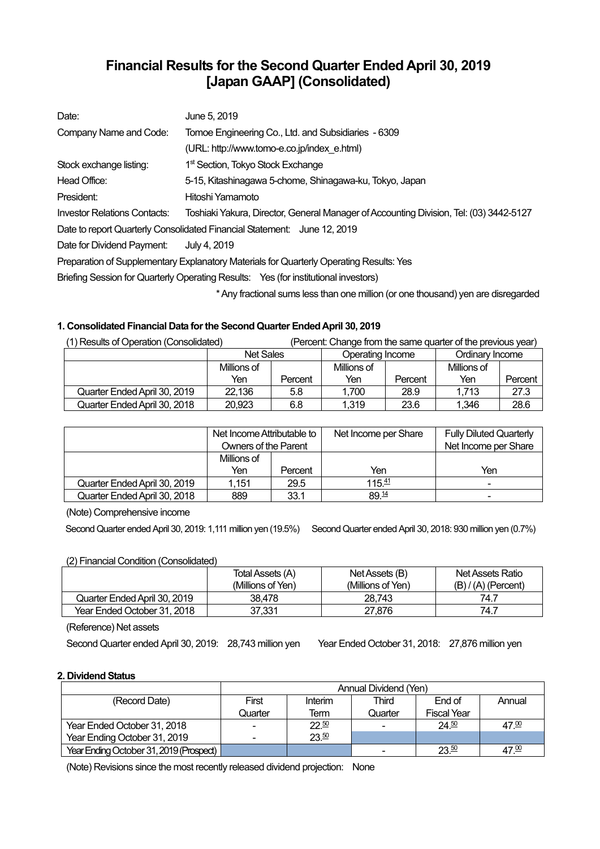# **Financial Results for the Second Quarter Ended April 30, 2019 [Japan GAAP] (Consolidated)**

| Date:                        | June 5, 2019                                                                            |
|------------------------------|-----------------------------------------------------------------------------------------|
| Company Name and Code:       | Tomoe Engineering Co., Ltd. and Subsidiaries - 6309                                     |
|                              | (URL: http://www.tomo-e.co.jp/index e.html)                                             |
| Stock exchange listing:      | 1 <sup>st</sup> Section, Tokyo Stock Exchange                                           |
| Head Office:                 | 5-15, Kitashinagawa 5-chome, Shinagawa-ku, Tokyo, Japan                                 |
| President:                   | Hitoshi Yamamoto                                                                        |
| Investor Relations Contacts: | Toshiaki Yakura, Director, General Manager of Accounting Division, Tel: (03) 3442-5127  |
|                              | Date to report Quarterly Consolidated Financial Statement: June 12, 2019                |
| Date for Dividend Payment:   | July 4, 2019                                                                            |
|                              | Preparation of Supplementary Explanatory Materials for Quarterly Operating Results: Yes |
|                              | Briefing Session for Quarterly Operating Results: Yes (for institutional investors)     |
|                              | * Any fractional sums less than one million (or one thousand) yen are disregarded       |

## **1. Consolidated Financial Data for the Second Quarter Ended April 30, 2019**

| (1) Results of Operation (Consolidated) |                  |         | (Percent: Change from the same quarter of the previous year) |         |                 |         |
|-----------------------------------------|------------------|---------|--------------------------------------------------------------|---------|-----------------|---------|
|                                         | <b>Net Sales</b> |         | Operating Income                                             |         | Ordinary Income |         |
|                                         | Millions of      |         | Millions of                                                  |         | Millions of     |         |
|                                         | Yen              | Percent | Yen                                                          | Percent | Yen             | Percent |
| Quarter Ended April 30, 2019            | 22,136           | 5.8     | 1.700                                                        | 28.9    | 1.713           | 27.3    |
| Quarter Ended April 30, 2018            | 20.923           | 6.8     | 1,319                                                        | 23.6    | 1.346           | 28.6    |

|                              | Net Income Attributable to<br><b>Owners of the Parent</b> |         | Net Income per Share | <b>Fully Diluted Quarterly</b><br>Net Income per Share |
|------------------------------|-----------------------------------------------------------|---------|----------------------|--------------------------------------------------------|
|                              | Millions of                                               |         |                      |                                                        |
|                              | Yen                                                       | Percent | Yen                  | Yen                                                    |
| Quarter Ended April 30, 2019 | 1.151                                                     | 29.5    | $115 \frac{41}{2}$   | $\blacksquare$                                         |
| Quarter Ended April 30, 2018 | 889                                                       | 33.1    | 89.14                | ۰                                                      |

(Note) Comprehensive income

Second Quarter ended April 30, 2019: 1,111 million yen (19.5%) Second Quarter ended April 30, 2018: 930 million yen (0.7%)

## (2) Financial Condition (Consolidated)

|                              | Total Assets (A)<br>(Millions of Yen) | Net Assets (B)<br>(Millions of Yen) | Net Assets Ratio<br>$(B) / (A)$ (Percent) |
|------------------------------|---------------------------------------|-------------------------------------|-------------------------------------------|
| Quarter Ended April 30, 2019 | 38.478                                | 28.743                              | 74.7                                      |
| Year Ended October 31, 2018  | 37.331                                | 27.876                              | 74.7                                      |

(Reference) Net assets

Second Quarter ended April 30, 2019: 28,743 million yen Year Ended October 31, 2018: 27,876 million yen

## **2. Dividend Status**

|                                         | Annual Dividend (Yen) |         |         |                    |                   |  |
|-----------------------------------------|-----------------------|---------|---------|--------------------|-------------------|--|
| (Record Date)                           | First                 | Interim | Third   | End of             | Annual            |  |
|                                         | Quarter               | Term    | Quarter | <b>Fiscal Year</b> |                   |  |
| Year Ended October 31, 2018             |                       | 22.50   |         | 24.50              | 47.00             |  |
| Year Ending October 31, 2019            |                       | 23.50   |         |                    |                   |  |
| Year Ending October 31, 2019 (Prospect) |                       |         |         | 23.50              | 47. <sup>00</sup> |  |

(Note) Revisions since the most recently released dividend projection: None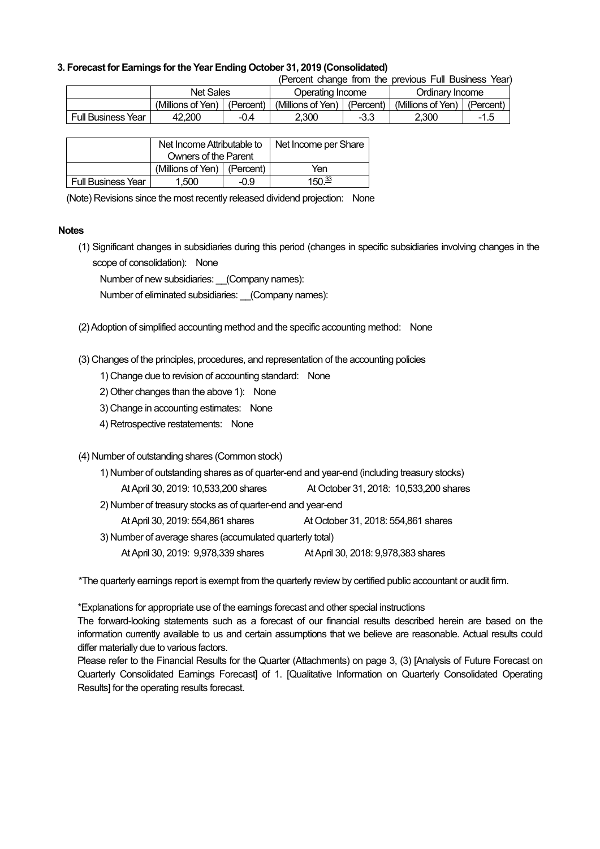## **3. Forecast for Earnings for the Year Ending October 31, 2019 (Consolidated)**

(Percent change from the previous Full Business Year)

|                           | <b>Net Sales</b>  |           |                   | Operating Income |                   | Ordinary Income |  |
|---------------------------|-------------------|-----------|-------------------|------------------|-------------------|-----------------|--|
|                           | (Millions of Yen) | (Percent) | (Millions of Yen) | (Percent)        | (Millions of Yen) | (Percent,       |  |
| <b>Full Business Year</b> | 42.200            | -0.4      | 2.300             | -3.3             | 2.300             | $-15$           |  |

|                           | Net Income Attributable to      |  | Net Income per Share |
|---------------------------|---------------------------------|--|----------------------|
|                           | Owners of the Parent            |  |                      |
|                           | (Millions of Yen) $ $ (Percent) |  | Yen                  |
| <b>Full Business Year</b> | 1,500<br>-0.9                   |  | 150 $\frac{33}{2}$   |

(Note) Revisions since the most recently released dividend projection: None

#### **Notes**

(1) Significant changes in subsidiaries during this period (changes in specific subsidiaries involving changes in the scope of consolidation): None

Number of new subsidiaries: (Company names):

Number of eliminated subsidiaries: (Company names):

(2) Adoption of simplified accounting method and the specific accounting method: None

(3) Changes of the principles, procedures, and representation of the accounting policies

1) Change due to revision of accounting standard: None

- 2) Other changes than the above 1): None
- 3) Change in accounting estimates: None
- 4) Retrospective restatements: None

## (4) Number of outstanding shares (Common stock)

| 1) Number of outstanding shares as of quarter-end and year-end (including treasury stocks) |                                        |  |  |  |
|--------------------------------------------------------------------------------------------|----------------------------------------|--|--|--|
| At April 30, 2019: 10,533,200 shares                                                       | At October 31, 2018: 10,533,200 shares |  |  |  |
| 2) Number of treasury stocks as of quarter-end and year-end                                |                                        |  |  |  |
| At April 30, 2019: 554,861 shares                                                          | At October 31, 2018: 554,861 shares    |  |  |  |
| 3) Number of average shares (accumulated quarterly total)                                  |                                        |  |  |  |
| At April 30, 2019: 9,978,339 shares<br>At April 30, 2018: 9,978,383 shares                 |                                        |  |  |  |

\*The quarterly earnings report is exempt from the quarterly review by certified public accountant or audit firm.

\*Explanations for appropriate use of the earnings forecast and other special instructions

The forward-looking statements such as a forecast of our financial results described herein are based on the information currently available to us and certain assumptions that we believe are reasonable. Actual results could differ materially due to various factors.

Please refer to the Financial Results for the Quarter (Attachments) on page 3, (3) [Analysis of Future Forecast on Quarterly Consolidated Earnings Forecast] of 1. [Qualitative Information on Quarterly Consolidated Operating Results] for the operating results forecast.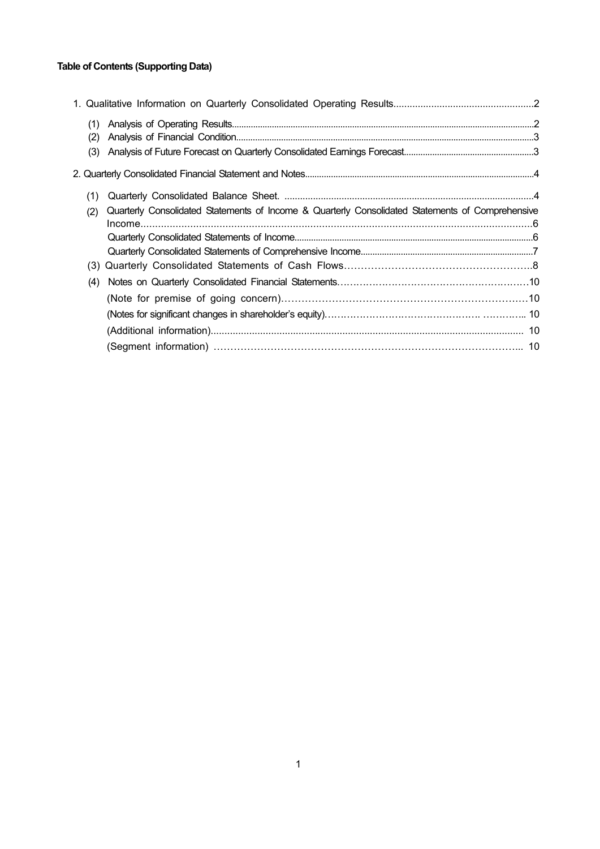## **Table of Contents (Supporting Data)**

| (1) |                                                                                                  |  |
|-----|--------------------------------------------------------------------------------------------------|--|
| (2) |                                                                                                  |  |
| (3) |                                                                                                  |  |
|     |                                                                                                  |  |
| (1) |                                                                                                  |  |
| (2) | Quarterly Consolidated Statements of Income & Quarterly Consolidated Statements of Comprehensive |  |
|     |                                                                                                  |  |
|     |                                                                                                  |  |
|     |                                                                                                  |  |
|     |                                                                                                  |  |
| (4) |                                                                                                  |  |
|     |                                                                                                  |  |
|     |                                                                                                  |  |
|     |                                                                                                  |  |
|     |                                                                                                  |  |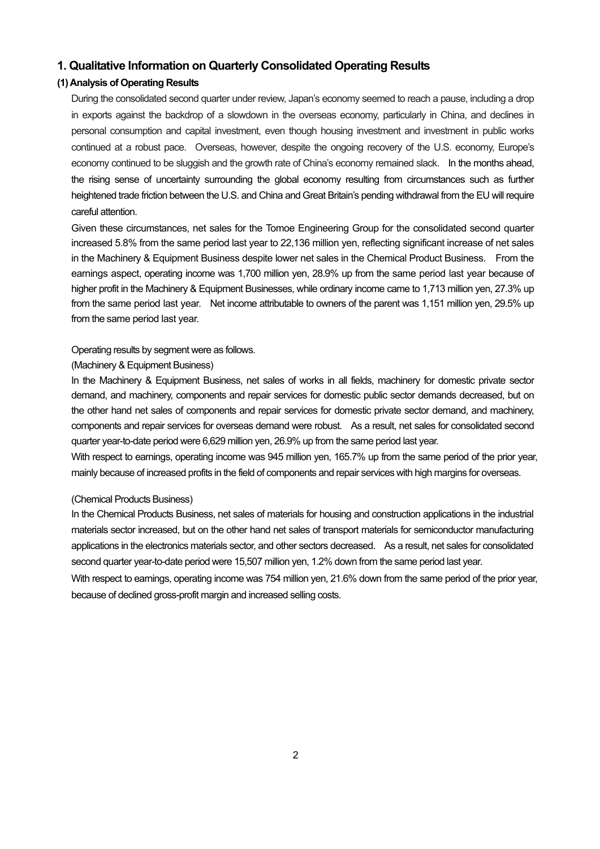## **1. Qualitative Information on Quarterly Consolidated Operating Results**

## **(1) Analysis of Operating Results**

During the consolidated second quarter under review, Japan's economy seemed to reach a pause, including a drop in exports against the backdrop of a slowdown in the overseas economy, particularly in China, and declines in personal consumption and capital investment, even though housing investment and investment in public works continued at a robust pace. Overseas, however, despite the ongoing recovery of the U.S. economy, Europe's economy continued to be sluggish and the growth rate of China's economy remained slack. In the months ahead, the rising sense of uncertainty surrounding the global economy resulting from circumstances such as further heightened trade friction between the U.S. and China and Great Britain's pending withdrawal from the EU will require careful attention.

Given these circumstances, net sales for the Tomoe Engineering Group for the consolidated second quarter increased 5.8% from the same period last year to 22,136 million yen, reflecting significant increase of net sales in the Machinery & Equipment Business despite lower net sales in the Chemical Product Business. From the earnings aspect, operating income was 1,700 million yen, 28.9% up from the same period last year because of higher profit in the Machinery & Equipment Businesses, while ordinary income came to 1,713 million yen, 27.3% up from the same period last year. Net income attributable to owners of the parent was 1,151 million yen, 29.5% up from the same period last year.

#### Operating results by segment were as follows.

### (Machinery & Equipment Business)

In the Machinery & Equipment Business, net sales of works in all fields, machinery for domestic private sector demand, and machinery, components and repair services for domestic public sector demands decreased, but on the other hand net sales of components and repair services for domestic private sector demand, and machinery, components and repair services for overseas demand were robust. As a result, net sales for consolidated second quarter year-to-date period were 6,629 million yen, 26.9% up from the same period last year.

With respect to earnings, operating income was 945 million yen, 165.7% up from the same period of the prior year, mainly because of increased profits in the field of components and repair services with high margins for overseas.

#### (Chemical Products Business)

In the Chemical Products Business, net sales of materials for housing and construction applications in the industrial materials sector increased, but on the other hand net sales of transport materials for semiconductor manufacturing applications in the electronics materials sector, and other sectors decreased. As a result, net sales for consolidated second quarter year-to-date period were 15,507 million yen, 1.2% down from the same period last year.

With respect to earnings, operating income was 754 million yen, 21.6% down from the same period of the prior year, because of declined gross-profit margin and increased selling costs.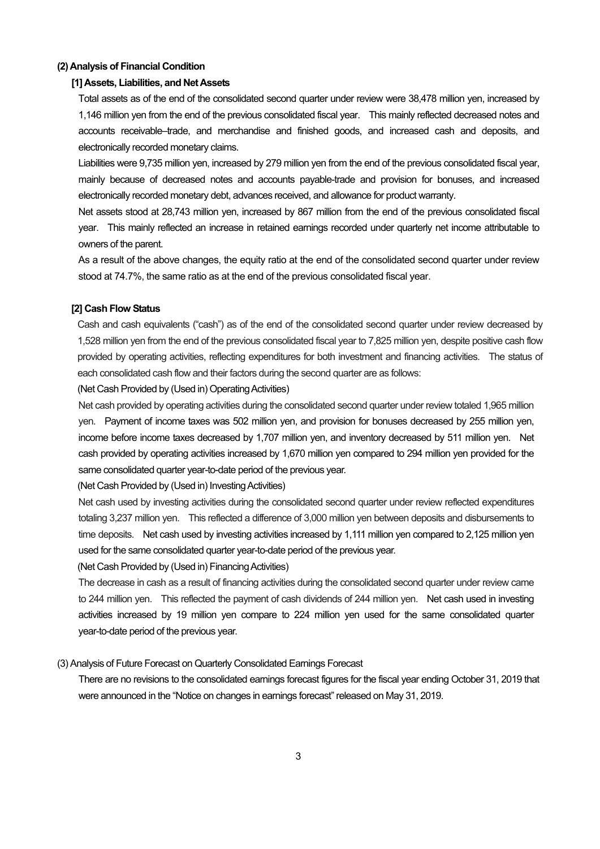### **(2) Analysis of Financial Condition**

#### **[1] Assets, Liabilities, and Net Assets**

Total assets as of the end of the consolidated second quarter under review were 38,478 million yen, increased by 1,146 million yen from the end of the previous consolidated fiscal year. This mainly reflected decreased notes and accounts receivable–trade, and merchandise and finished goods, and increased cash and deposits, and electronically recorded monetary claims.

Liabilities were 9,735 million yen, increased by 279 million yen from the end of the previous consolidated fiscal year, mainly because of decreased notes and accounts payable-trade and provision for bonuses, and increased electronically recorded monetary debt, advances received, and allowance for product warranty.

Net assets stood at 28,743 million yen, increased by 867 million from the end of the previous consolidated fiscal year. This mainly reflected an increase in retained earnings recorded under quarterly net income attributable to owners of the parent.

As a result of the above changes, the equity ratio at the end of the consolidated second quarter under review stood at 74.7%, the same ratio as at the end of the previous consolidated fiscal year.

#### **[2] Cash Flow Status**

Cash and cash equivalents ("cash") as of the end of the consolidated second quarter under review decreased by 1,528 million yen from the end of the previous consolidated fiscal year to 7,825 million yen, despite positive cash flow provided by operating activities, reflecting expenditures for both investment and financing activities. The status of each consolidated cash flow and their factors during the second quarter are as follows:

(Net Cash Provided by (Used in) Operating Activities)

Net cash provided by operating activities during the consolidated second quarter under review totaled 1,965 million yen. Payment of income taxes was 502 million yen, and provision for bonuses decreased by 255 million yen, income before income taxes decreased by 1,707 million yen, and inventory decreased by 511 million yen. Net cash provided by operating activities increased by 1,670 million yen compared to 294 million yen provided for the same consolidated quarter year-to-date period of the previous year.

(Net Cash Provided by (Used in) Investing Activities)

Net cash used by investing activities during the consolidated second quarter under review reflected expenditures totaling 3,237 million yen. This reflected a difference of 3,000 million yen between deposits and disbursements to time deposits. Net cash used by investing activities increased by 1,111 million yen compared to 2,125 million yen used for the same consolidated quarter year-to-date period of the previous year.

(Net Cash Provided by (Used in) Financing Activities)

The decrease in cash as a result of financing activities during the consolidated second quarter under review came to 244 million yen. This reflected the payment of cash dividends of 244 million yen. Net cash used in investing activities increased by 19 million yen compare to 224 million yen used for the same consolidated quarter year-to-date period of the previous year.

#### (3) Analysis of Future Forecast on Quarterly Consolidated Earnings Forecast

There are no revisions to the consolidated earnings forecast figures for the fiscal year ending October 31, 2019 that were announced in the "Notice on changes in earnings forecast" released on May 31, 2019.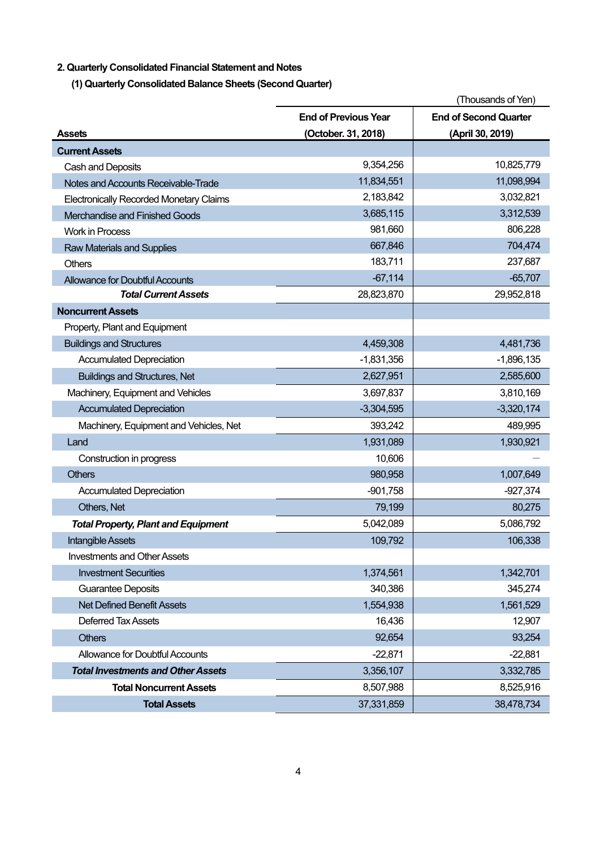## **2. Quarterly Consolidated Financial Statement and Notes**

**(1) Quarterly Consolidated Balance Sheets (Second Quarter)** 

|                                                |                             | (Thousands of Yen)           |
|------------------------------------------------|-----------------------------|------------------------------|
|                                                | <b>End of Previous Year</b> | <b>End of Second Quarter</b> |
| <b>Assets</b>                                  | (October. 31, 2018)         | (April 30, 2019)             |
| <b>Current Assets</b>                          |                             |                              |
| Cash and Deposits                              | 9,354,256                   | 10,825,779                   |
| Notes and Accounts Receivable-Trade            | 11,834,551                  | 11,098,994                   |
| <b>Electronically Recorded Monetary Claims</b> | 2,183,842                   | 3,032,821                    |
| Merchandise and Finished Goods                 | 3,685,115                   | 3,312,539                    |
| <b>Work in Process</b>                         | 981,660                     | 806,228                      |
| <b>Raw Materials and Supplies</b>              | 667,846                     | 704,474                      |
| Others                                         | 183,711                     | 237,687                      |
| <b>Allowance for Doubtful Accounts</b>         | $-67,114$                   | $-65,707$                    |
| <b>Total Current Assets</b>                    | 28,823,870                  | 29,952,818                   |
| <b>Noncurrent Assets</b>                       |                             |                              |
| Property, Plant and Equipment                  |                             |                              |
| <b>Buildings and Structures</b>                | 4,459,308                   | 4,481,736                    |
| <b>Accumulated Depreciation</b>                | $-1,831,356$                | $-1,896,135$                 |
| <b>Buildings and Structures, Net</b>           | 2,627,951                   | 2,585,600                    |
| Machinery, Equipment and Vehicles              | 3,697,837                   | 3,810,169                    |
| <b>Accumulated Depreciation</b>                | $-3,304,595$                | $-3,320,174$                 |
| Machinery, Equipment and Vehicles, Net         | 393,242                     | 489,995                      |
| Land                                           | 1,931,089                   | 1,930,921                    |
| Construction in progress                       | 10,606                      |                              |
| <b>Others</b>                                  | 980,958                     | 1,007,649                    |
| <b>Accumulated Depreciation</b>                | $-901,758$                  | $-927,374$                   |
| Others, Net                                    | 79,199                      | 80,275                       |
| <b>Total Property, Plant and Equipment</b>     | 5,042,089                   | 5,086,792                    |
| Intangible Assets                              | 109,792                     | 106,338                      |
| <b>Investments and Other Assets</b>            |                             |                              |
| <b>Investment Securities</b>                   | 1,374,561                   | 1,342,701                    |
| <b>Guarantee Deposits</b>                      | 340,386                     | 345,274                      |
| <b>Net Defined Benefit Assets</b>              | 1,554,938                   | 1,561,529                    |
| <b>Deferred Tax Assets</b>                     | 16,436                      | 12,907                       |
| <b>Others</b>                                  | 92,654                      | 93,254                       |
| Allowance for Doubtful Accounts                | $-22,871$                   | $-22,881$                    |
| <b>Total Investments and Other Assets</b>      | 3,356,107                   | 3,332,785                    |
| <b>Total Noncurrent Assets</b>                 | 8,507,988                   | 8,525,916                    |
| <b>Total Assets</b>                            | 37,331,859                  | 38,478,734                   |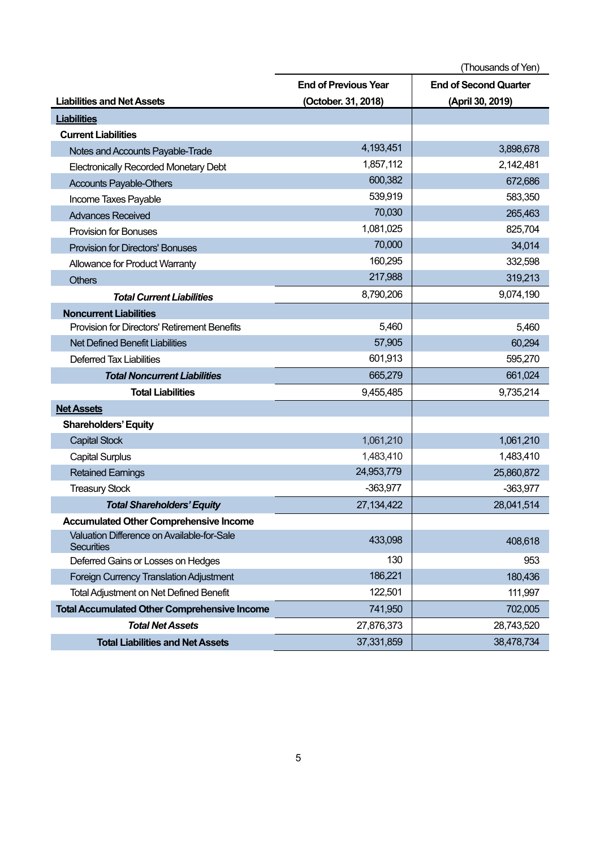|                                                                 | (Thousands of Yen)          |                              |
|-----------------------------------------------------------------|-----------------------------|------------------------------|
|                                                                 | <b>End of Previous Year</b> | <b>End of Second Quarter</b> |
| <b>Liabilities and Net Assets</b>                               | (October. 31, 2018)         | (April 30, 2019)             |
| <b>Liabilities</b>                                              |                             |                              |
| <b>Current Liabilities</b>                                      |                             |                              |
| Notes and Accounts Payable-Trade                                | 4,193,451                   | 3,898,678                    |
| <b>Electronically Recorded Monetary Debt</b>                    | 1,857,112                   | 2,142,481                    |
| <b>Accounts Payable-Others</b>                                  | 600,382                     | 672,686                      |
| Income Taxes Payable                                            | 539,919                     | 583,350                      |
| <b>Advances Received</b>                                        | 70,030                      | 265,463                      |
| <b>Provision for Bonuses</b>                                    | 1,081,025                   | 825,704                      |
| <b>Provision for Directors' Bonuses</b>                         | 70,000                      | 34,014                       |
| Allowance for Product Warranty                                  | 160,295                     | 332,598                      |
| <b>Others</b>                                                   | 217,988                     | 319,213                      |
| <b>Total Current Liabilities</b>                                | 8,790,206                   | 9,074,190                    |
| <b>Noncurrent Liabilities</b>                                   |                             |                              |
| <b>Provision for Directors' Retirement Benefits</b>             | 5,460                       | 5,460                        |
| <b>Net Defined Benefit Liabilities</b>                          | 57,905                      | 60,294                       |
| <b>Deferred Tax Liabilities</b>                                 | 601,913                     | 595,270                      |
| <b>Total Noncurrent Liabilities</b>                             | 665,279                     | 661,024                      |
| <b>Total Liabilities</b>                                        | 9,455,485                   | 9,735,214                    |
| <b>Net Assets</b>                                               |                             |                              |
| <b>Shareholders' Equity</b>                                     |                             |                              |
| <b>Capital Stock</b>                                            | 1,061,210                   | 1,061,210                    |
| <b>Capital Surplus</b>                                          | 1,483,410                   | 1,483,410                    |
| <b>Retained Earnings</b>                                        | 24,953,779                  | 25,860,872                   |
| <b>Treasury Stock</b>                                           | $-363,977$                  | $-363,977$                   |
| <b>Total Shareholders' Equity</b>                               | 27, 134, 422                | 28,041,514                   |
| <b>Accumulated Other Comprehensive Income</b>                   |                             |                              |
| Valuation Difference on Available-for-Sale<br><b>Securities</b> | 433,098                     | 408,618                      |
| Deferred Gains or Losses on Hedges                              | 130                         | 953                          |
| <b>Foreign Currency Translation Adjustment</b>                  | 186,221                     | 180,436                      |
| <b>Total Adjustment on Net Defined Benefit</b>                  | 122,501                     | 111,997                      |
| <b>Total Accumulated Other Comprehensive Income</b>             | 741,950                     | 702,005                      |
| <b>Total Net Assets</b>                                         | 27,876,373                  | 28,743,520                   |
| <b>Total Liabilities and Net Assets</b>                         | 37,331,859                  | 38,478,734                   |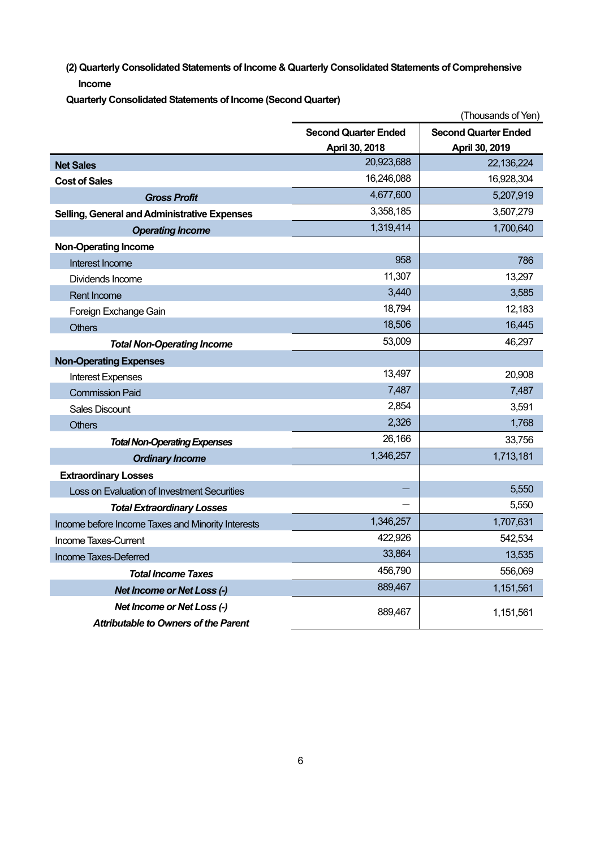**(2) Quarterly Consolidated Statements of Income & Quarterly Consolidated Statements of Comprehensive Income** 

**Quarterly Consolidated Statements of Income (Second Quarter)** 

|                                                   |                             | (Thousands of Yen)          |
|---------------------------------------------------|-----------------------------|-----------------------------|
|                                                   | <b>Second Quarter Ended</b> | <b>Second Quarter Ended</b> |
|                                                   | April 30, 2018              | April 30, 2019              |
| <b>Net Sales</b>                                  | 20,923,688                  | 22,136,224                  |
| <b>Cost of Sales</b>                              | 16,246,088                  | 16,928,304                  |
| <b>Gross Profit</b>                               | 4,677,600                   | 5,207,919                   |
| Selling, General and Administrative Expenses      | 3,358,185                   | 3,507,279                   |
| <b>Operating Income</b>                           | 1,319,414                   | 1,700,640                   |
| <b>Non-Operating Income</b>                       |                             |                             |
| Interest Income                                   | 958                         | 786                         |
| Dividends Income                                  | 11,307                      | 13,297                      |
| <b>Rent Income</b>                                | 3,440                       | 3,585                       |
| Foreign Exchange Gain                             | 18,794                      | 12,183                      |
| <b>Others</b>                                     | 18,506                      | 16,445                      |
| <b>Total Non-Operating Income</b>                 | 53,009                      | 46,297                      |
| <b>Non-Operating Expenses</b>                     |                             |                             |
| <b>Interest Expenses</b>                          | 13,497                      | 20,908                      |
| <b>Commission Paid</b>                            | 7,487                       | 7,487                       |
| <b>Sales Discount</b>                             | 2,854                       | 3,591                       |
| <b>Others</b>                                     | 2,326                       | 1,768                       |
| <b>Total Non-Operating Expenses</b>               | 26,166                      | 33,756                      |
| <b>Ordinary Income</b>                            | 1,346,257                   | 1,713,181                   |
| <b>Extraordinary Losses</b>                       |                             |                             |
| Loss on Evaluation of Investment Securities       |                             | 5,550                       |
| <b>Total Extraordinary Losses</b>                 |                             | 5,550                       |
| Income before Income Taxes and Minority Interests | 1,346,257                   | 1,707,631                   |
| Income Taxes-Current                              | 422,926                     | 542,534                     |
| Income Taxes-Deferred                             | 33,864                      | 13,535                      |
| <b>Total Income Taxes</b>                         | 456,790                     | 556,069                     |
| <b>Net Income or Net Loss (-)</b>                 | 889,467                     | 1,151,561                   |
| <b>Net Income or Net Loss (-)</b>                 | 889,467                     | 1,151,561                   |
| <b>Attributable to Owners of the Parent</b>       |                             |                             |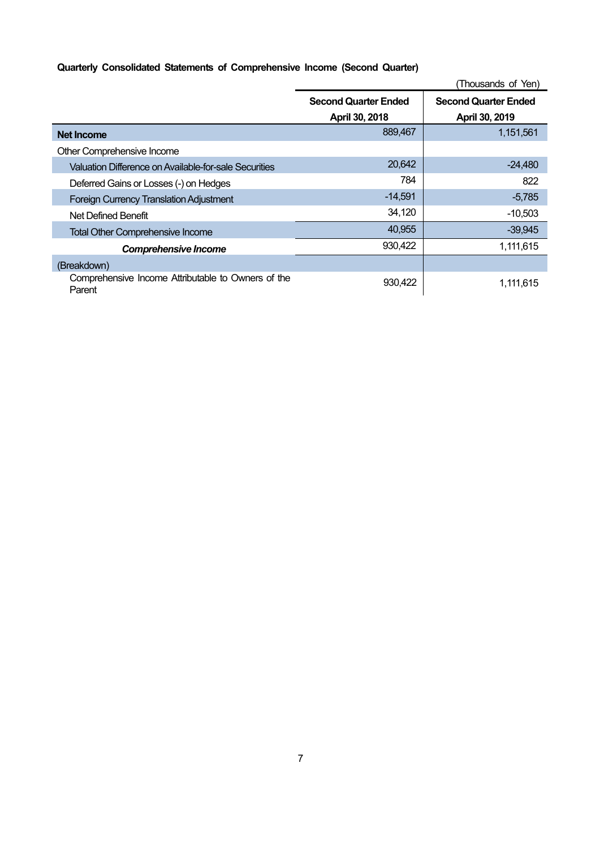## **Quarterly Consolidated Statements of Comprehensive Income (Second Quarter)**

|                                                              | (Thousands of Yen)          |                             |  |
|--------------------------------------------------------------|-----------------------------|-----------------------------|--|
|                                                              | <b>Second Quarter Ended</b> | <b>Second Quarter Ended</b> |  |
|                                                              | April 30, 2018              | April 30, 2019              |  |
| Net Income                                                   | 889,467                     | 1,151,561                   |  |
| Other Comprehensive Income                                   |                             |                             |  |
| Valuation Difference on Available-for-sale Securities        | 20,642                      | $-24,480$                   |  |
| Deferred Gains or Losses (-) on Hedges                       | 784                         | 822                         |  |
| <b>Foreign Currency Translation Adjustment</b>               | $-14,591$                   | $-5,785$                    |  |
| Net Defined Benefit                                          | 34,120                      | $-10,503$                   |  |
| <b>Total Other Comprehensive Income</b>                      | 40,955                      | $-39,945$                   |  |
| <b>Comprehensive Income</b>                                  | 930,422                     | 1,111,615                   |  |
| (Breakdown)                                                  |                             |                             |  |
| Comprehensive Income Attributable to Owners of the<br>Parent | 930,422                     | 1,111,615                   |  |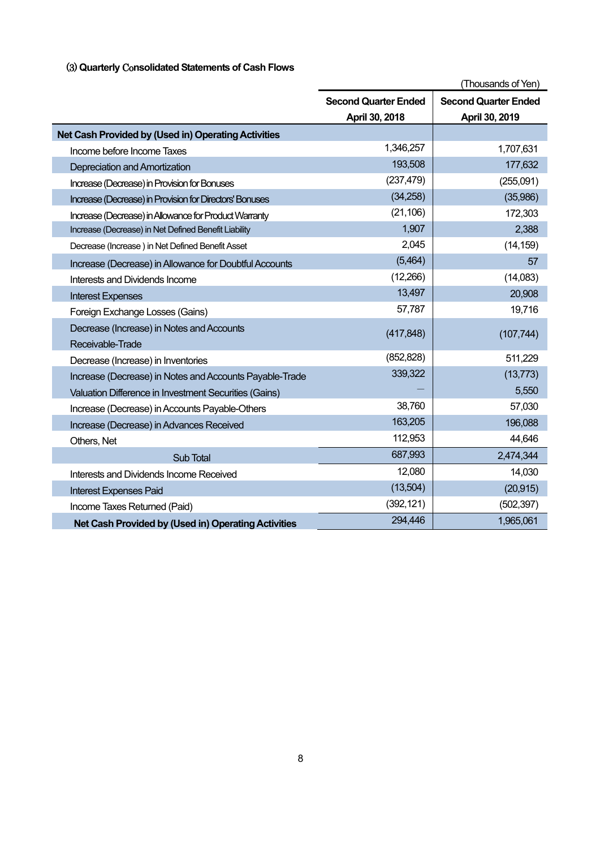## (3) **Quarterly** Co**nsolidated Statements of Cash Flows**

|                                                         | (Thousands of Yen)          |                             |  |
|---------------------------------------------------------|-----------------------------|-----------------------------|--|
|                                                         | <b>Second Quarter Ended</b> | <b>Second Quarter Ended</b> |  |
|                                                         | April 30, 2018              | April 30, 2019              |  |
| Net Cash Provided by (Used in) Operating Activities     |                             |                             |  |
| Income before Income Taxes                              | 1,346,257                   | 1,707,631                   |  |
| Depreciation and Amortization                           | 193,508                     | 177,632                     |  |
| Increase (Decrease) in Provision for Bonuses            | (237, 479)                  | (255,091)                   |  |
| Increase (Decrease) in Provision for Directors' Bonuses | (34,258)                    | (35,986)                    |  |
| Increase (Decrease) in Allowance for Product Warranty   | (21, 106)                   | 172,303                     |  |
| Increase (Decrease) in Net Defined Benefit Liability    | 1,907                       | 2,388                       |  |
| Decrease (Increase) in Net Defined Benefit Asset        | 2,045                       | (14, 159)                   |  |
| Increase (Decrease) in Allowance for Doubtful Accounts  | (5,464)                     | 57                          |  |
| Interests and Dividends Income                          | (12,266)                    | (14,083)                    |  |
| <b>Interest Expenses</b>                                | 13,497                      | 20,908                      |  |
| Foreign Exchange Losses (Gains)                         | 57,787                      | 19,716                      |  |
| Decrease (Increase) in Notes and Accounts               | (417, 848)                  | (107, 744)                  |  |
| Receivable-Trade                                        |                             |                             |  |
| Decrease (Increase) in Inventories                      | (852, 828)                  | 511,229                     |  |
| Increase (Decrease) in Notes and Accounts Payable-Trade | 339,322                     | (13, 773)                   |  |
| Valuation Difference in Investment Securities (Gains)   |                             | 5,550                       |  |
| Increase (Decrease) in Accounts Payable-Others          | 38,760                      | 57,030                      |  |
| Increase (Decrease) in Advances Received                | 163,205                     | 196,088                     |  |
| Others, Net                                             | 112,953                     | 44,646                      |  |
| Sub Total                                               | 687,993                     | 2,474,344                   |  |
| Interests and Dividends Income Received                 | 12,080                      | 14,030                      |  |
| <b>Interest Expenses Paid</b>                           | (13,504)                    | (20, 915)                   |  |
| Income Taxes Returned (Paid)                            | (392, 121)                  | (502, 397)                  |  |
| Net Cash Provided by (Used in) Operating Activities     | 294,446                     | 1,965,061                   |  |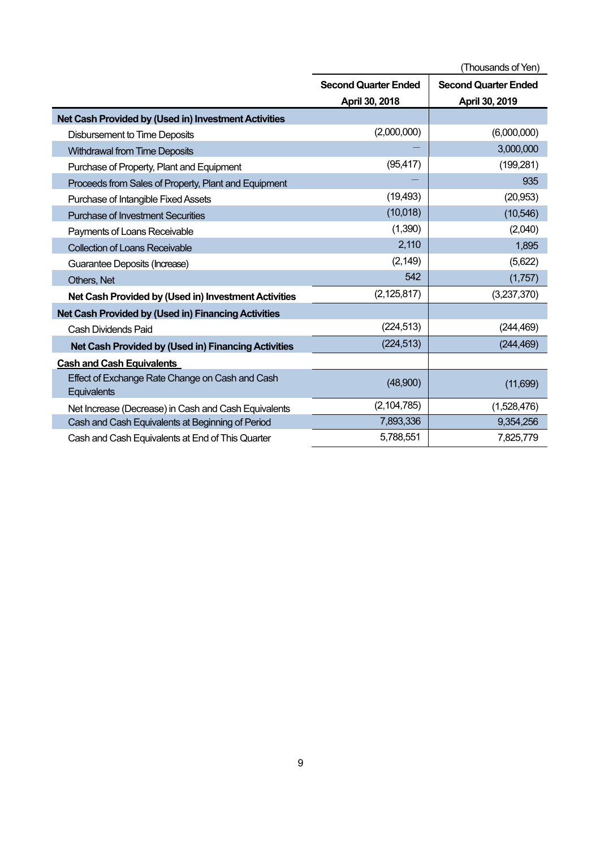|                                                                | (Thousands of Yen)                                         |                |  |
|----------------------------------------------------------------|------------------------------------------------------------|----------------|--|
|                                                                | <b>Second Quarter Ended</b><br><b>Second Quarter Ended</b> |                |  |
|                                                                | April 30, 2018                                             | April 30, 2019 |  |
| Net Cash Provided by (Used in) Investment Activities           |                                                            |                |  |
| <b>Disbursement to Time Deposits</b>                           | (2,000,000)                                                | (6,000,000)    |  |
| <b>Withdrawal from Time Deposits</b>                           |                                                            | 3,000,000      |  |
| Purchase of Property, Plant and Equipment                      | (95, 417)                                                  | (199, 281)     |  |
| Proceeds from Sales of Property, Plant and Equipment           |                                                            | 935            |  |
| Purchase of Intangible Fixed Assets                            | (19, 493)                                                  | (20, 953)      |  |
| <b>Purchase of Investment Securities</b>                       | (10,018)                                                   | (10, 546)      |  |
| Payments of Loans Receivable                                   | (1,390)                                                    | (2,040)        |  |
| <b>Collection of Loans Receivable</b>                          | 2,110                                                      | 1,895          |  |
| Guarantee Deposits (Increase)                                  | (2, 149)                                                   | (5,622)        |  |
| Others, Net                                                    | 542                                                        | (1,757)        |  |
| Net Cash Provided by (Used in) Investment Activities           | (2, 125, 817)                                              | (3,237,370)    |  |
| Net Cash Provided by (Used in) Financing Activities            |                                                            |                |  |
| Cash Dividends Paid                                            | (224, 513)                                                 | (244, 469)     |  |
| Net Cash Provided by (Used in) Financing Activities            | (224, 513)                                                 | (244, 469)     |  |
| <b>Cash and Cash Equivalents</b>                               |                                                            |                |  |
| Effect of Exchange Rate Change on Cash and Cash<br>Equivalents | (48,900)                                                   | (11,699)       |  |
| Net Increase (Decrease) in Cash and Cash Equivalents           | (2, 104, 785)                                              | (1,528,476)    |  |
| Cash and Cash Equivalents at Beginning of Period               | 7,893,336                                                  | 9,354,256      |  |
| Cash and Cash Equivalents at End of This Quarter               | 5,788,551                                                  | 7,825,779      |  |